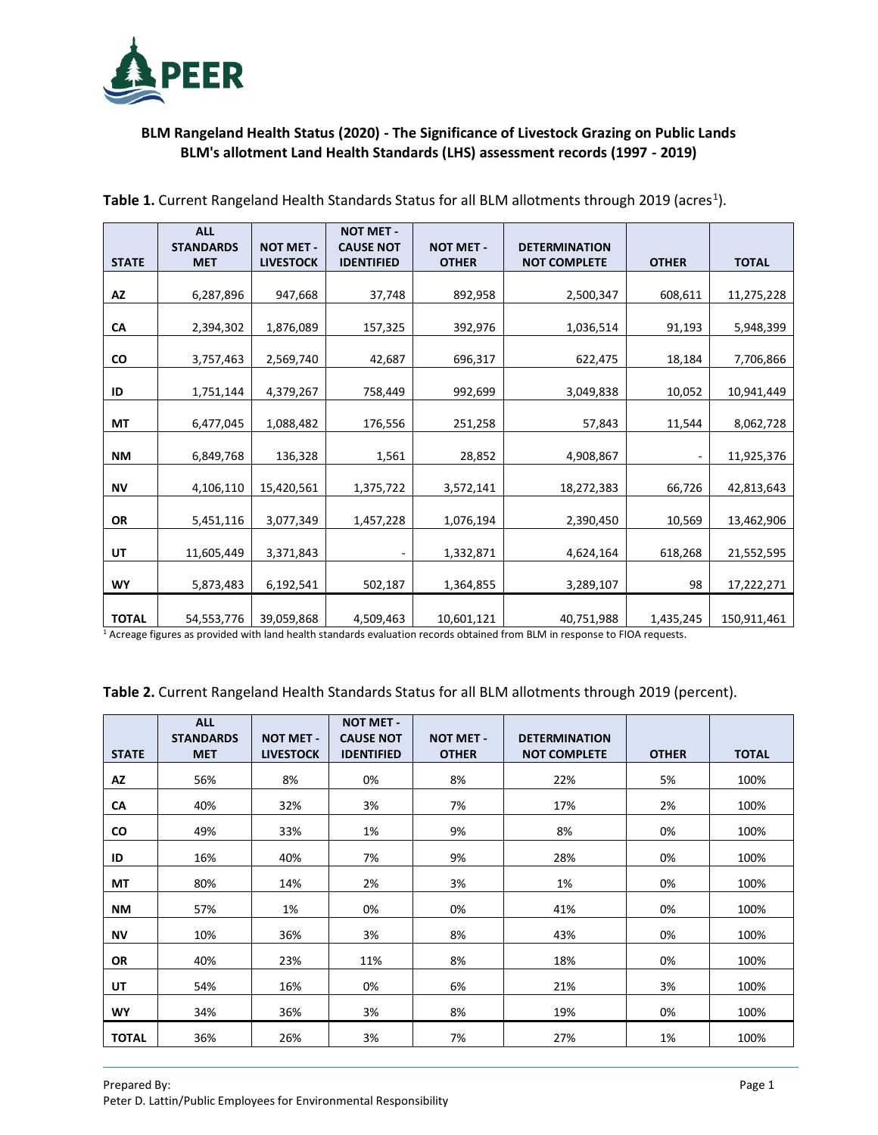

## **BLM Rangeland Health Status (2020) - The Significance of Livestock Grazing on Public Lands BLM's allotment Land Health Standards (LHS) assessment records (1997 - 2019)**

|              | <b>ALL</b>                     |                                      | <b>NOT MET -</b>                      |                                  |                                             |                              |              |
|--------------|--------------------------------|--------------------------------------|---------------------------------------|----------------------------------|---------------------------------------------|------------------------------|--------------|
| <b>STATE</b> | <b>STANDARDS</b><br><b>MET</b> | <b>NOT MET -</b><br><b>LIVESTOCK</b> | <b>CAUSE NOT</b><br><b>IDENTIFIED</b> | <b>NOT MET -</b><br><b>OTHER</b> | <b>DETERMINATION</b><br><b>NOT COMPLETE</b> | <b>OTHER</b>                 | <b>TOTAL</b> |
|              |                                |                                      |                                       |                                  |                                             |                              |              |
| AZ           | 6,287,896                      | 947,668                              | 37,748                                | 892,958                          | 2,500,347                                   | 608,611                      | 11,275,228   |
|              |                                |                                      |                                       |                                  |                                             |                              |              |
| CA           | 2,394,302                      | 1,876,089                            | 157,325                               | 392,976                          | 1,036,514                                   | 91,193                       | 5,948,399    |
| CO           | 3,757,463                      | 2,569,740                            | 42,687                                | 696,317                          | 622,475                                     | 18,184                       | 7,706,866    |
| ID           | 1,751,144                      | 4,379,267                            | 758,449                               | 992,699                          | 3,049,838                                   | 10,052                       | 10,941,449   |
| МT           | 6,477,045                      | 1,088,482                            | 176,556                               | 251,258                          | 57,843                                      | 11,544                       | 8,062,728    |
| NΜ           | 6,849,768                      | 136,328                              | 1,561                                 | 28,852                           | 4,908,867                                   | $\qquad \qquad \blacksquare$ | 11,925,376   |
| ΝV           | 4,106,110                      | 15,420,561                           | 1,375,722                             | 3,572,141                        | 18,272,383                                  | 66,726                       | 42,813,643   |
| OR           | 5,451,116                      | 3,077,349                            | 1,457,228                             | 1,076,194                        | 2,390,450                                   | 10,569                       | 13,462,906   |
| UT           | 11,605,449                     | 3,371,843                            |                                       | 1,332,871                        | 4,624,164                                   | 618,268                      | 21,552,595   |
| WY           | 5,873,483                      | 6,192,541                            | 502,187                               | 1,364,855                        | 3,289,107                                   | 98                           | 17,222,271   |
| <b>TOTAL</b> | 54,553,776                     | 39,059,868                           | 4,509,463                             | 10,601,121                       | 40,751,988                                  | 1,435,245                    | 150,911,461  |

Table 1. Current Rangeland Health Standards Status for all BLM allotments through 2019 (acres<sup>1</sup>).

<sup>1</sup> Acreage figures as provided with land health standards evaluation records obtained from BLM in response to FIOA requests.

**Table 2.** Current Rangeland Health Standards Status for all BLM allotments through 2019 (percent).

|              | <b>ALL</b><br><b>STANDARDS</b> | <b>NOT MET -</b> | <b>NOT MET -</b><br><b>CAUSE NOT</b> | <b>NOT MET -</b> | <b>DETERMINATION</b> |              |              |
|--------------|--------------------------------|------------------|--------------------------------------|------------------|----------------------|--------------|--------------|
| <b>STATE</b> | <b>MET</b>                     | <b>LIVESTOCK</b> | <b>IDENTIFIED</b>                    | <b>OTHER</b>     | <b>NOT COMPLETE</b>  | <b>OTHER</b> | <b>TOTAL</b> |
| AZ           | 56%                            | 8%               | 0%                                   | 8%               | 22%                  | 5%           | 100%         |
| CA           | 40%                            | 32%              | 3%                                   | 7%               | 17%                  | 2%           | 100%         |
| CO           | 49%                            | 33%              | 1%                                   | 9%               | 8%                   | 0%           | 100%         |
| ID           | 16%                            | 40%              | 7%                                   | 9%               | 28%                  | 0%           | 100%         |
| МT           | 80%                            | 14%              | 2%                                   | 3%               | 1%                   | 0%           | 100%         |
| NΜ           | 57%                            | 1%               | 0%                                   | 0%               | 41%                  | 0%           | 100%         |
| ΝV           | 10%                            | 36%              | 3%                                   | 8%               | 43%                  | 0%           | 100%         |
| <b>OR</b>    | 40%                            | 23%              | 11%                                  | 8%               | 18%                  | 0%           | 100%         |
| UT           | 54%                            | 16%              | 0%                                   | 6%               | 21%                  | 3%           | 100%         |
| <b>WY</b>    | 34%                            | 36%              | 3%                                   | 8%               | 19%                  | 0%           | 100%         |
| <b>TOTAL</b> | 36%                            | 26%              | 3%                                   | 7%               | 27%                  | 1%           | 100%         |